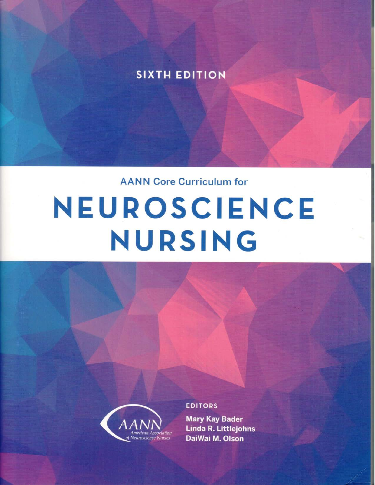### **SIXTH EDITION**

**AANN Core Curriculum for** 

## NEUROSCIENCE NURSING



#### **EDITORS**

**Mary Kay Bader Linda R. Littlejohns** DaiWai M. Olson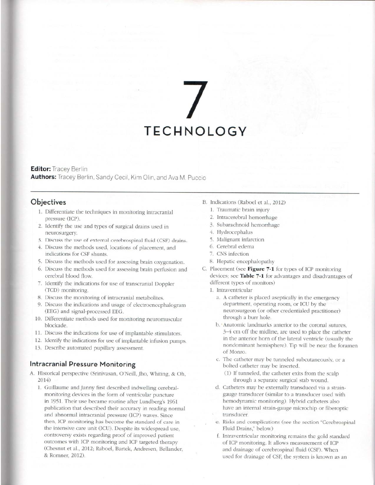# **TECHNOLOGY**

#### **Editor:** Tracey Berlin

Authors: Tracey Berlin, Sandy Cecil, Kim Olin, and Ava M. Puccio

#### Objectives

- 1. Differentiate the techniques in monitoring intracranial pressure (ICP).
- 2. Identify the use and types of surgical drains used in neurosurgery.
- 3. Discuss the use of external cerebrospinal fluid (CSF) drains.
- 4. Discuss the methods used, locations of placement, and indications for CSF shunts.
- 5. Discuss the methods used for assessing brain oxygenation.
- 6. Discuss the methods used for assessing brain perfusion and cerebral blood flow.
- 7. Identify the indications for use of transcranial Doppler (TCD) monitoring.
- 8. Discuss the monitoring of intracranial metabolites.
- 9. Discuss the indications and usage of electroencephalogram (EEG) and signal-processed EEG.
- 10. Differentiate methods used for monitoring neuromuscular blockade.
- 11. Discuss the indications for use of implantable stimulators.
- 12. Identify the indications for use of implantable infusion pumps.
- 13. Describe automated pupillary assessment.

#### Intracranial Pressure Monitoring

- A. Historical perspective (Srinivasan, O'Neill, Iho, Whiting, & Oh,  $2014)$ 
	- 1. Guillaume and Janny first described indwelling cerebralmonitoring devices in the form of ventricular puncture in 1951. Their use became routine after Lundberg's 1961 publication that described their accuracy in reading normal and abnormal intracranial pressure (ICP) waves. Since then, ICP monitoring has become the standard of care in the intensive care unit (ICU). Despite its widespread use. controversy exists regarding proof of improved patient outcomes with ICP monitoring and ICP targeted therapy (Chesnut et al., 2012; Raboel, Bartek, Andresen, Bellander, & Romner, 2012).
- B. Indications (Raboel et al., 2012)
	- 1. Traumatic brain injury
	- 2. Intracerebral hemorrhage
	- 3. Subarachnoid hemorrhage
	- 4. Hydrocephalus
	- 5. Malignant infarction
	- 6. Cerebral edema
	- 7. CNS infection
	- 8. Hepatic encephalopathy
- C. Placement (see Figure 7-1 for types of ICP monitoring devices; see Table 7-1 for advantages and disadvantages of different types of monitors)
	- 1. Intraventricular
		- a. A catheter is placed aseptically in the emergency department, operating room, or ICU by the neurosurgeon (or other credentialed practitioner) through a burr hole.
		- b. Anatomic landmarks anterior to the coronal sutures, 3-4 cm off the midline, are used to place the catheter in the anterior horn of the lateral ventricle (usually the nondominant hemisphere). Tip will be near the foramen of Monro.
		- c. The catheter may be tunneled subcutaneously, or a bolted catheter may be inserted.
			- (1) If tunneled, the catheter exits from the scalp through a separate surgical stab wound.
		- d. Catheters may be externally transduced via a straingauge transducer (similar to a transducer used with hemodynamic monitoring). Hybrid catheters also have an internal strain-gauge microchip or fiberoptic transducer.
		- e. Risks and complications (see the section "Cerebrospinal Fluid Drains." below)
		- f. Intraventricular monitoring remains the gold standard of ICP monitoring. It allows measurement of ICP and drainage of cerebrospinal fluid (CSF). When used for drainage of CSF, the system is known as an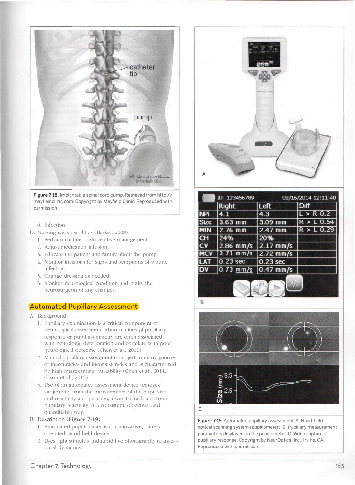

**Figure 7-18.** Implantable spinal cord pump. Retrieved from http:// mayfieldclinic.com. Copyright by Mayfield Clinic. Reproduced with permission.

- 6. Infection
- D. Nursing responsibilities (Barker, 2008)
	- 1. Perform rourine postoperative management.
	- 2. djust medication infusion.
	- 3. Educate the patient and family about the pump.
	- 4. Monitor incisions for signs and ymptoms of wound infection.
	- 5. Change dressing as needed.
	- 6. Monitor neurological condition and notify the neurosurgeon of any changes.

#### **Automated Pupillary Assessment**

- A. Background
	- 1. Pupillary examination is a critical componem of neurological assessment. Abnormalities of pupillary response or pupil asymmetry are often associated with neurologic deterioration and correlate with poor neurological outcome (Chen et al., 2011).
	- 2. Manual pupillary assessment is subject to many sources of inaccuracies and inconsistencies and is characterized by high interexaminer variability (Chen et al., 2011; Olson et al., 2015).
	- 3. Use of an auromated assessment device remove subjectivity from the measurement of the pupil size and reactivity and provides a way to track and trend pupillary reactivity in a consistent, objective, and quantifiable way.

#### *B.* Description **(Figure 7-19)**

- 1. Automated pupillometer is a noninvasive, batteryoperatecl, hand-held device.
- 2. Uses light stimulus and rapid live photography to assess pupil dynamics



|             | Right       | Left        | <b>Diff</b>  |
|-------------|-------------|-------------|--------------|
| JPi         |             | 4.3         | $L > R$ 0.2  |
| <b>Size</b> | 3.63 mm     | $3.09$ mm   | $R > L$ 0.54 |
| <b>MIN</b>  | $2.76$ mm   | $2.47$ mm   | $R > L$ 0.29 |
| CH          | 24%         | 20%         |              |
| CV          | $2.86$ mm/s | $2.17$ mm/s |              |
| <b>MCV</b>  | $3.71$ mm/s | $2.72$ mm/s |              |
| АI          | 0.23 sec    | 0.23 sec    |              |
| D۷          | $0.73$ mm/s | $0.47$ mm/s |              |



Figure 7-19. Automated pupillary assessment. A, Hand-held optical scanning system (pupillometer). B. Pupillary measurement parameters displayed on the pupillometer. C. Video capture of pupillary response. Copyright by NeurOptics, Inc., Irvine. CA. Reproduced with permission.